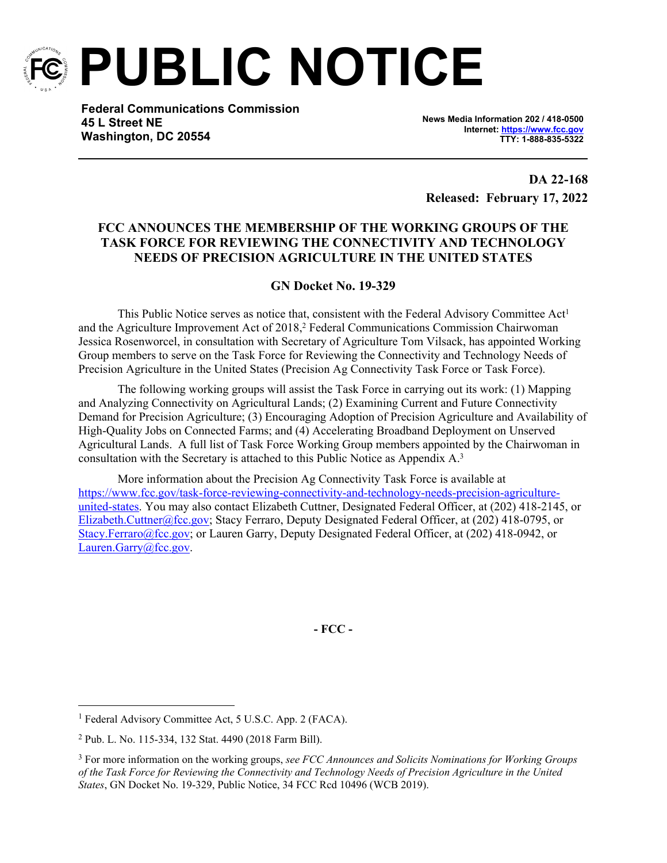

**PUBLIC NOTICE**

**Federal Communications Commission 45 L Street NE Washington, DC 20554**

**News Media Information 202 / 418-0500 Internet:<https://www.fcc.gov> TTY: 1-888-835-5322**

**DA 22-168 Released: February 17, 2022**

# **FCC ANNOUNCES THE MEMBERSHIP OF THE WORKING GROUPS OF THE TASK FORCE FOR REVIEWING THE CONNECTIVITY AND TECHNOLOGY NEEDS OF PRECISION AGRICULTURE IN THE UNITED STATES**

# **GN Docket No. 19-329**

This Public Notice serves as notice that, consistent with the Federal Advisory Committee Act<sup>1</sup> and the Agriculture Improvement Act of 2018,<sup>2</sup> Federal Communications Commission Chairwoman Jessica Rosenworcel, in consultation with Secretary of Agriculture Tom Vilsack, has appointed Working Group members to serve on the Task Force for Reviewing the Connectivity and Technology Needs of Precision Agriculture in the United States (Precision Ag Connectivity Task Force or Task Force).

The following working groups will assist the Task Force in carrying out its work: (1) Mapping and Analyzing Connectivity on Agricultural Lands; (2) Examining Current and Future Connectivity Demand for Precision Agriculture; (3) Encouraging Adoption of Precision Agriculture and Availability of High-Quality Jobs on Connected Farms; and (4) Accelerating Broadband Deployment on Unserved Agricultural Lands. A full list of Task Force Working Group members appointed by the Chairwoman in consultation with the Secretary is attached to this Public Notice as Appendix A.<sup>3</sup>

More information about the Precision Ag Connectivity Task Force is available at [https://www.fcc.gov/task-force-reviewing-connectivity-and-technology-needs-precision-agriculture](https://www.fcc.gov/task-force-reviewing-connectivity-and-technology-needs-precision-agriculture-united-states)[united-states.](https://www.fcc.gov/task-force-reviewing-connectivity-and-technology-needs-precision-agriculture-united-states) You may also contact Elizabeth Cuttner, Designated Federal Officer, at (202) 418-2145, or [Elizabeth.Cuttner@fcc.gov](mailto:Elizabeth.Cuttner@fcc.gov); Stacy Ferraro, Deputy Designated Federal Officer, at (202) 418-0795, or [Stacy.Ferraro@fcc.gov](mailto:Stacy.Ferraro@fcc.gov); or Lauren Garry, Deputy Designated Federal Officer, at (202) 418-0942, or [Lauren.Garry@fcc.gov](mailto:Lauren.Garry@fcc.gov).

**- FCC -**

<sup>&</sup>lt;sup>1</sup> Federal Advisory Committee Act, 5 U.S.C. App. 2 (FACA).

<sup>2</sup> Pub. L. No. 115-334, 132 Stat. 4490 (2018 Farm Bill).

<sup>3</sup> For more information on the working groups, *see FCC Announces and Solicits Nominations for Working Groups of the Task Force for Reviewing the Connectivity and Technology Needs of Precision Agriculture in the United States*, GN Docket No. 19-329, Public Notice, 34 FCC Rcd 10496 (WCB 2019).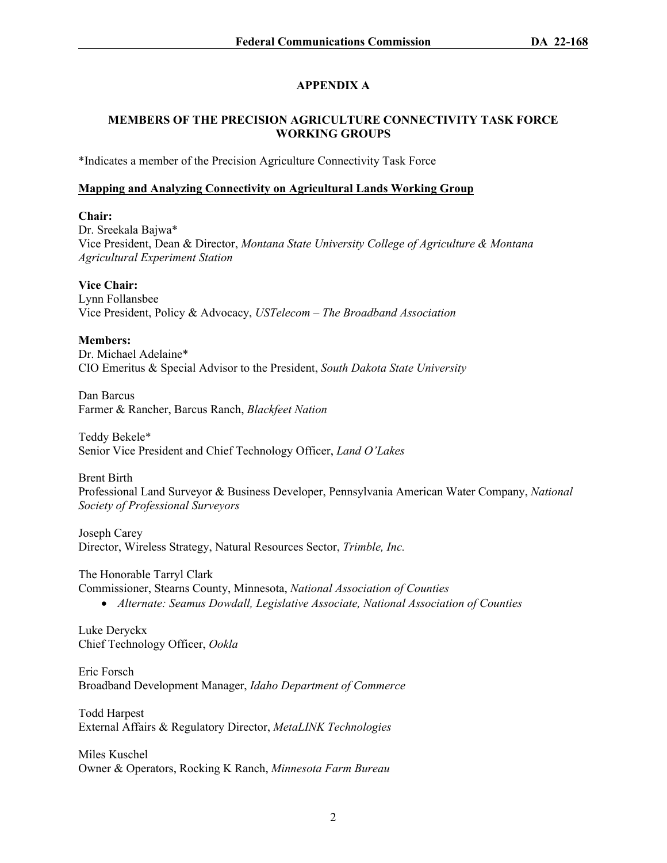# **APPENDIX A**

# **MEMBERS OF THE PRECISION AGRICULTURE CONNECTIVITY TASK FORCE WORKING GROUPS**

\*Indicates a member of the Precision Agriculture Connectivity Task Force

# **Mapping and Analyzing Connectivity on Agricultural Lands Working Group**

## **Chair:**

Dr. Sreekala Bajwa\* Vice President, Dean & Director, *Montana State University College of Agriculture & Montana Agricultural Experiment Station*

**Vice Chair:**

Lynn Follansbee Vice President, Policy & Advocacy, *USTelecom – The Broadband Association*

## **Members:**

Dr. Michael Adelaine\* CIO Emeritus & Special Advisor to the President, *South Dakota State University*

Dan Barcus Farmer & Rancher, Barcus Ranch, *Blackfeet Nation*

Teddy Bekele\* Senior Vice President and Chief Technology Officer, *Land O'Lakes*

Brent Birth

Professional Land Surveyor & Business Developer, Pennsylvania American Water Company, *National Society of Professional Surveyors*

Joseph Carey Director, Wireless Strategy, Natural Resources Sector, *Trimble, Inc.*

The Honorable Tarryl Clark Commissioner, Stearns County, Minnesota, *National Association of Counties Alternate: Seamus Dowdall, Legislative Associate, National Association of Counties*

Luke Deryckx Chief Technology Officer, *Ookla*

Eric Forsch Broadband Development Manager, *Idaho Department of Commerce*

Todd Harpest External Affairs & Regulatory Director, *MetaLINK Technologies*

Miles Kuschel Owner & Operators, Rocking K Ranch, *Minnesota Farm Bureau*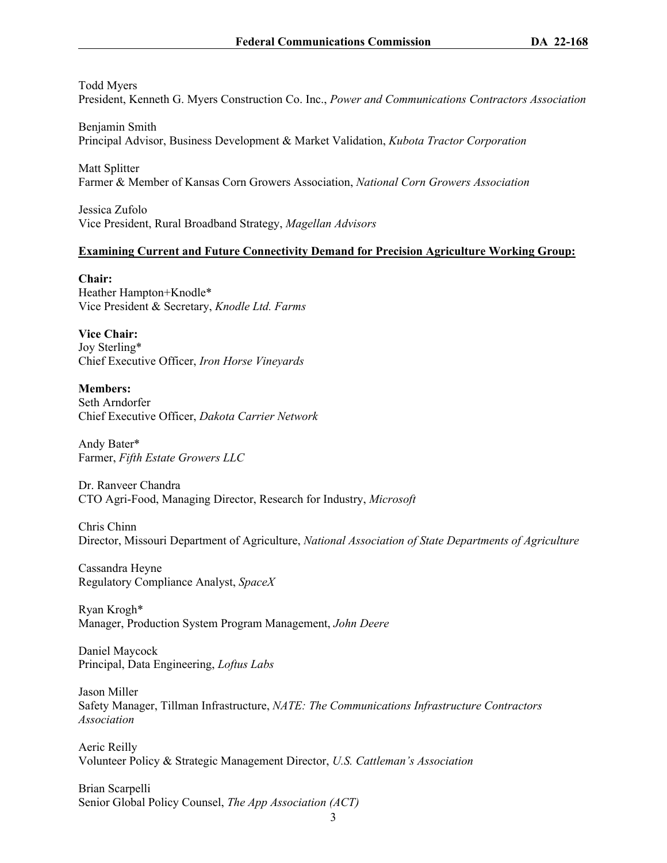#### Todd Myers

President, Kenneth G. Myers Construction Co. Inc., *Power and Communications Contractors Association*

Benjamin Smith Principal Advisor, Business Development & Market Validation, *Kubota Tractor Corporation*

Matt Splitter Farmer & Member of Kansas Corn Growers Association, *National Corn Growers Association*

Jessica Zufolo Vice President, Rural Broadband Strategy, *Magellan Advisors*

#### **Examining Current and Future Connectivity Demand for Precision Agriculture Working Group:**

**Chair:** Heather Hampton+Knodle\* Vice President & Secretary, *Knodle Ltd. Farms*

**Vice Chair:** Joy Sterling\* Chief Executive Officer, *Iron Horse Vineyards*

**Members:** Seth Arndorfer Chief Executive Officer, *Dakota Carrier Network*

Andy Bater\* Farmer, *Fifth Estate Growers LLC*

Dr. Ranveer Chandra CTO Agri-Food, Managing Director, Research for Industry, *Microsoft*

Chris Chinn Director, Missouri Department of Agriculture, *National Association of State Departments of Agriculture*

Cassandra Heyne Regulatory Compliance Analyst, *SpaceX*

Ryan Krogh\* Manager, Production System Program Management, *John Deere*

Daniel Maycock Principal, Data Engineering, *Loftus Labs*

Jason Miller Safety Manager, Tillman Infrastructure, *NATE: The Communications Infrastructure Contractors Association*

Aeric Reilly Volunteer Policy & Strategic Management Director, *U.S. Cattleman's Association*

Brian Scarpelli Senior Global Policy Counsel, *The App Association (ACT)*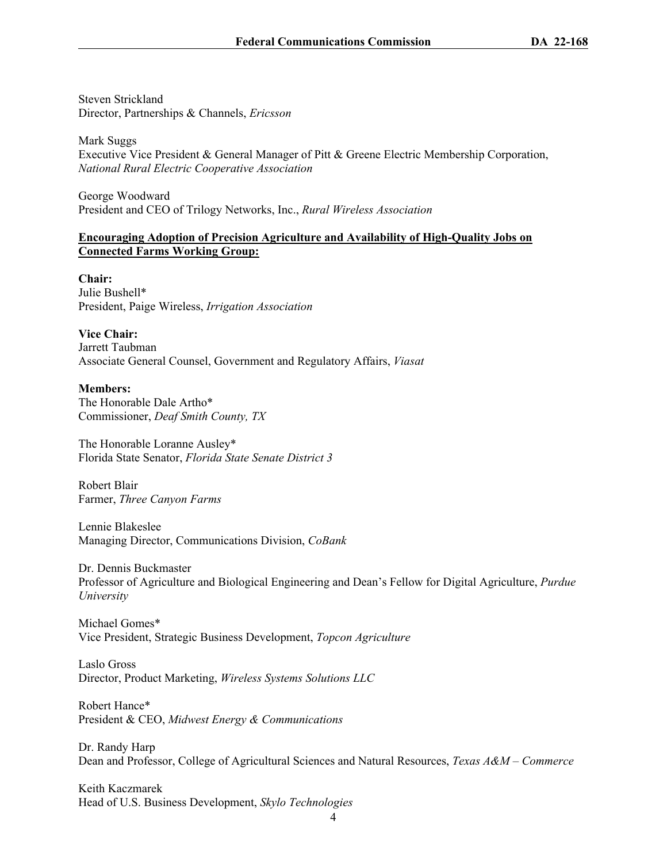Steven Strickland Director, Partnerships & Channels, *Ericsson*

Mark Suggs Executive Vice President & General Manager of Pitt & Greene Electric Membership Corporation, *National Rural Electric Cooperative Association*

George Woodward President and CEO of Trilogy Networks, Inc., *Rural Wireless Association*

### **Encouraging Adoption of Precision Agriculture and Availability of High-Quality Jobs on Connected Farms Working Group:**

**Chair:** Julie Bushell\* President, Paige Wireless, *Irrigation Association*

**Vice Chair:** Jarrett Taubman Associate General Counsel, Government and Regulatory Affairs, *Viasat*

### **Members:**

The Honorable Dale Artho\* Commissioner, *Deaf Smith County, TX*

The Honorable Loranne Ausley\* Florida State Senator, *Florida State Senate District 3*

Robert Blair Farmer, *Three Canyon Farms*

Lennie Blakeslee Managing Director, Communications Division, *CoBank*

Dr. Dennis Buckmaster Professor of Agriculture and Biological Engineering and Dean's Fellow for Digital Agriculture, *Purdue University*

Michael Gomes\* Vice President, Strategic Business Development, *Topcon Agriculture*

Laslo Gross Director, Product Marketing, *Wireless Systems Solutions LLC*

Robert Hance\* President & CEO, *Midwest Energy & Communications*

Dr. Randy Harp Dean and Professor, College of Agricultural Sciences and Natural Resources, *Texas A&M – Commerce*

Keith Kaczmarek Head of U.S. Business Development, *Skylo Technologies*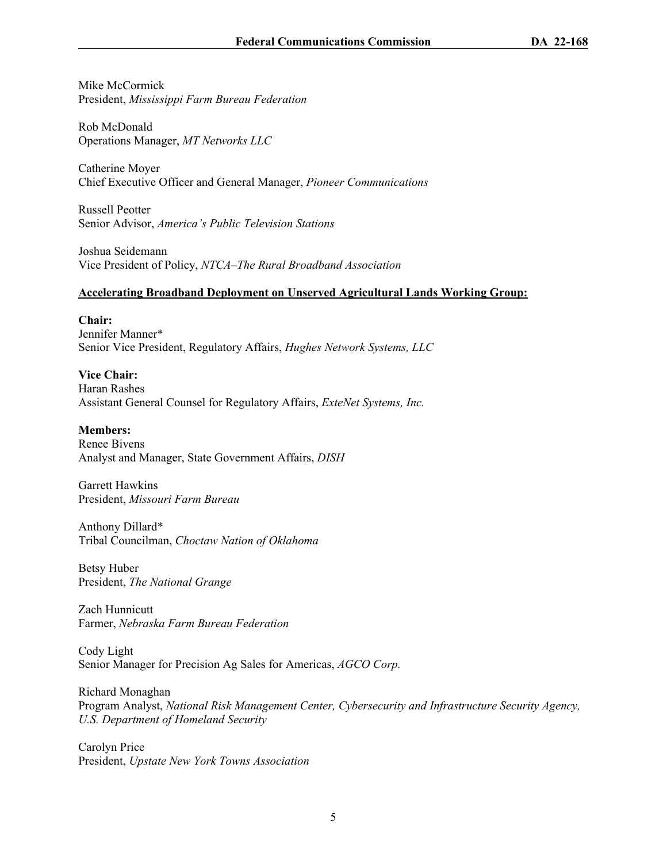Mike McCormick President, *Mississippi Farm Bureau Federation*

Rob McDonald Operations Manager, *MT Networks LLC*

Catherine Moyer Chief Executive Officer and General Manager, *Pioneer Communications*

Russell Peotter Senior Advisor, *America's Public Television Stations*

Joshua Seidemann Vice President of Policy, *NTCA–The Rural Broadband Association*

## **Accelerating Broadband Deployment on Unserved Agricultural Lands Working Group:**

**Chair:** Jennifer Manner\* Senior Vice President, Regulatory Affairs, *Hughes Network Systems, LLC*

**Vice Chair:** Haran Rashes Assistant General Counsel for Regulatory Affairs, *ExteNet Systems, Inc.*

**Members:** Renee Bivens Analyst and Manager, State Government Affairs, *DISH*

Garrett Hawkins President, *Missouri Farm Bureau*

Anthony Dillard\* Tribal Councilman, *Choctaw Nation of Oklahoma*

Betsy Huber President, *The National Grange*

Zach Hunnicutt Farmer, *Nebraska Farm Bureau Federation*

Cody Light Senior Manager for Precision Ag Sales for Americas, *AGCO Corp.*

Richard Monaghan Program Analyst, *National Risk Management Center, Cybersecurity and Infrastructure Security Agency, U.S. Department of Homeland Security*

Carolyn Price President, *Upstate New York Towns Association*